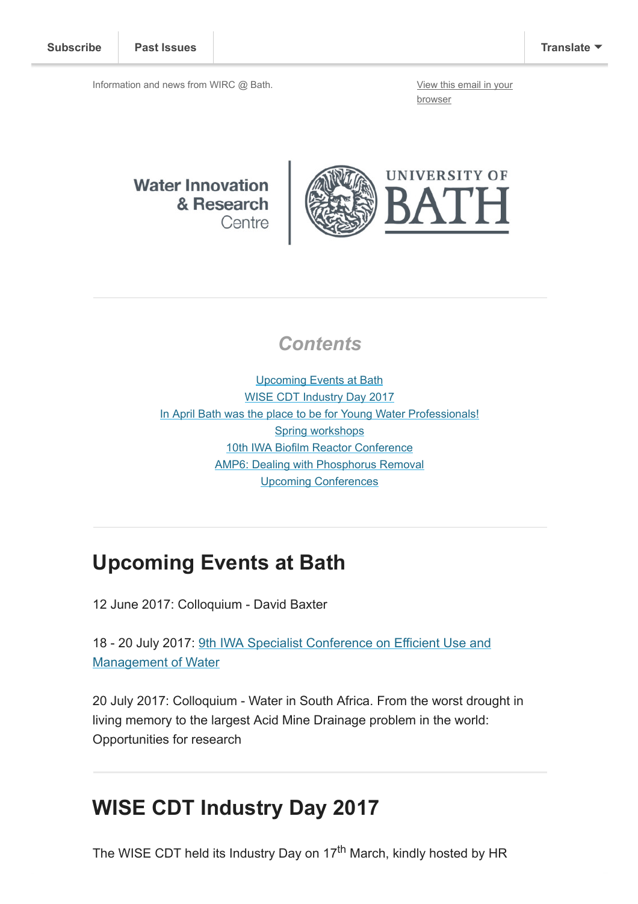Information and news from WIRC @ Bath. [View this email in your](http://mailchi.mp/a9ea4aeda3bf/ocouuo7gja?e=[UNIQID])

browser

**Water Innovation** & Research Centre



#### **Contents**

[Upcoming Events at Bath](#page-0-0) [WISE CDT Industry Day 2017](#page-0-1) [In April Bath was the place to be for Young Water Professionals!](#page-1-0) [Spring workshops](#page-3-0) [10th IWA Biofilm Reactor Conference](#page-3-1) [AMP6: Dealing with Phosphorus Removal](#page-4-0) [Upcoming Conferences](#page-4-1)

## <span id="page-0-0"></span>Upcoming Events at Bath

12 June 2017: Colloquium - David Baxter

[18 - 20 July 2017: 9th IWA Specialist Conference on Efficient Use and](http://efficient2017.com/) Management of Water

20 July 2017: Colloquium - Water in South Africa. From the worst drought in living memory to the largest Acid Mine Drainage problem in the world: Opportunities for research

## <span id="page-0-1"></span>WISE CDT Industry Day 2017

The WISE CDT held its Industry Day on 17<sup>th</sup> March, kindly hosted by HR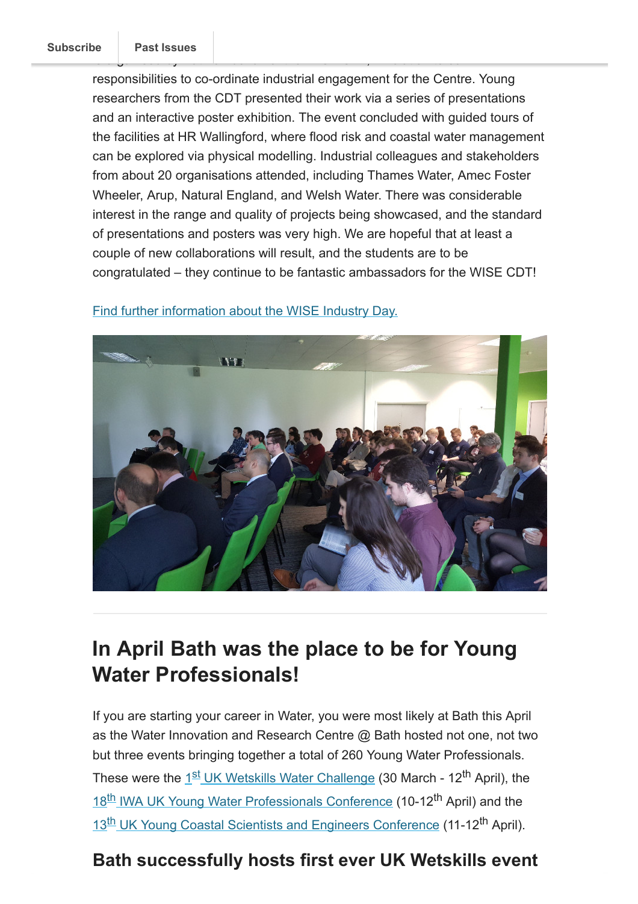responsibilities to co-ordinate industrial engagement for the Centre. Young researchers from the CDT presented their work via a series of presentations and an interactive poster exhibition. The event concluded with guided tours of the facilities at HR Wallingford, where flood risk and coastal water management can be explored via physical modelling. Industrial colleagues and stakeholders from about 20 organisations attended, including Thames Water, Amec Foster Wheeler, Arup, Natural England, and Welsh Water. There was considerable interest in the range and quality of projects being showcased, and the standard of presentations and posters was very high. We are hopeful that at least a couple of new collaborations will result, and the students are to be congratulated – they continue to be fantastic ambassadors for the WISE CDT!



[Find further information about the WISE Industry Day.](http://wisecdt.org/industry-day-huge-success/)

## <span id="page-1-0"></span>In April Bath was the place to be for Young Water Professionals!

If you are starting your career in Water, you were most likely at Bath this April as the Water Innovation and Research Centre @ Bath hosted not one, not two but three events bringing together a total of 260 Young Water Professionals. These were the 1<sup>st</sup> [UK Wetskills Water Challenge](#page-1-1) (30 March - 12<sup>th</sup> April), the 18<sup>th</sup> [IWA UK Young Water Professionals Conference](#page-2-0) (10-12<sup>th</sup> April) and the 13<sup>th</sup> [UK Young Coastal Scientists and Engineers Conference](#page-3-2) (11-12<sup>th</sup> April).

#### <span id="page-1-1"></span>Bath successfully hosts first ever UK Wetskills event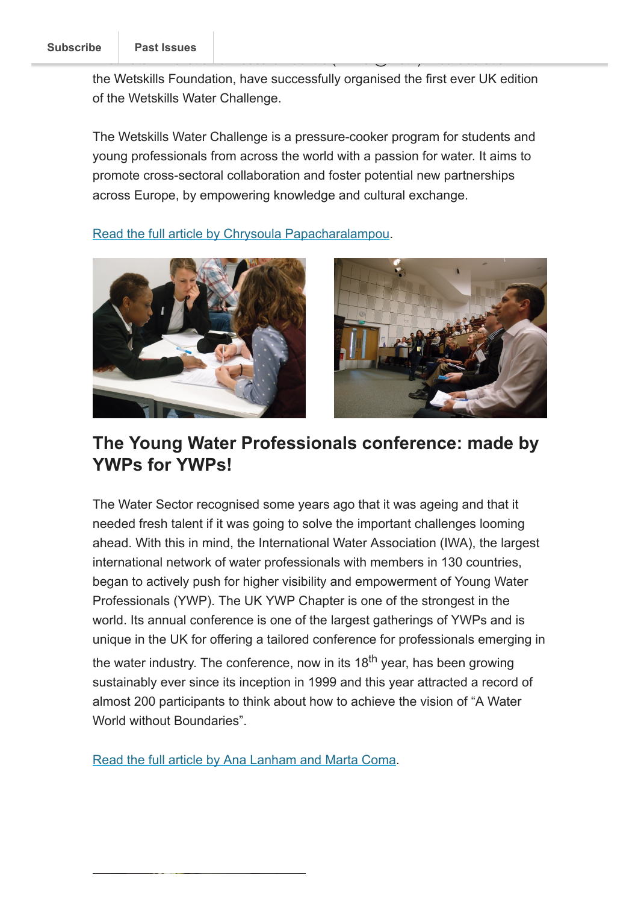the Wetskills Foundation, have successfully organised the first ever UK edition of the Wetskills Water Challenge.

The Wetskills Water Challenge is a pressure-cooker program for students and young professionals from across the world with a passion for water. It aims to promote cross-sectoral collaboration and foster potential new partnerships across Europe, by empowering knowledge and cultural exchange.

[Read the full article by Chrysoula Papacharalampou.](http://blogs.bath.ac.uk/water/2017/05/17/bath-hosts-uk-wetskills/)



#### <span id="page-2-0"></span>The Young Water Professionals conference: made by YWPs for YWPs!

The Water Sector recognised some years ago that it was ageing and that it needed fresh talent if it was going to solve the important challenges looming ahead. With this in mind, the International Water Association (IWA), the largest international network of water professionals with members in 130 countries, began to actively push for higher visibility and empowerment of Young Water Professionals (YWP). The UK YWP Chapter is one of the strongest in the world. Its annual conference is one of the largest gatherings of YWPs and is unique in the UK for offering a tailored conference for professionals emerging in the water industry. The conference, now in its 18<sup>th</sup> year, has been growing sustainably ever since its inception in 1999 and this year attracted a record of almost 200 participants to think about how to achieve the vision of "A Water World without Boundaries"

[Read the full article by Ana Lanham and Marta Coma.](http://blogs.bath.ac.uk/water/2017/05/17/made-by-ywps-for-ywps/)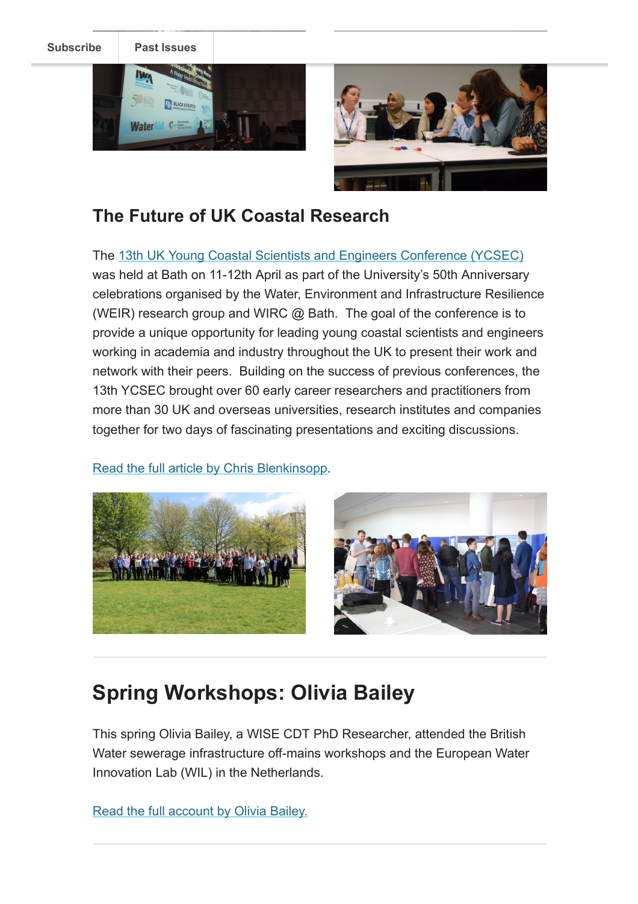[Subscribe](http://eepurl.com/bKjQGL) [Past Issues](https://us12.campaign-archive.com/home/?u=d7614ea34eb388bb6f0caa07a&id=d688d5b543)





### <span id="page-3-2"></span>The Future of UK Coastal Research

The [13th UK Young Coastal Scientists and Engineers Conference \(YCSEC\)](http://www.bath.ac.uk/research/centres/wirc/events/ycsec2017.html) was held at Bath on 11-12th April as part of the University's 50th Anniversary celebrations organised by the Water, Environment and Infrastructure Resilience (WEIR) research group and WIRC @ Bath. The goal of the conference is to provide a unique opportunity for leading young coastal scientists and engineers working in academia and industry throughout the UK to present their work and network with their peers. Building on the success of previous conferences, the 13th YCSEC brought over 60 early career researchers and practitioners from more than 30 UK and overseas universities, research institutes and companies together for two days of fascinating presentations and exciting discussions.

[Read the full article by Chris Blenkinsopp](http://blogs.bath.ac.uk/water/2017/05/11/future-of-uk-coastal-research/).



# <span id="page-3-0"></span>Spring Workshops: Olivia Bailey

This spring Olivia Bailey, a WISE CDT PhD Researcher, attended the British Water sewerage infrastructure off-mains workshops and the European Water Innovation Lab (WIL) in the Netherlands.

<span id="page-3-1"></span>[Read the full account by Olivia Bailey.](http://blogs.bath.ac.uk/water/2017/05/18/olivia-bailey/)